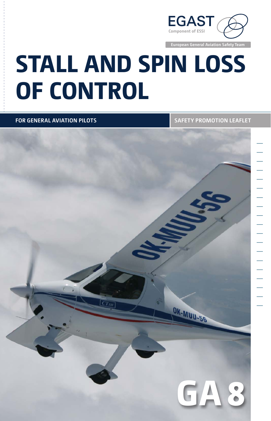

# **STALL AND SPIN LOSS OF CONTROL**

**FOR GENERAL AVIATION PILOTS SAFETY PROMOTION LEAFLET**

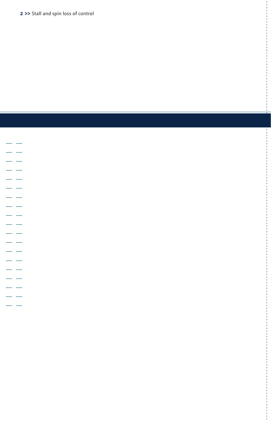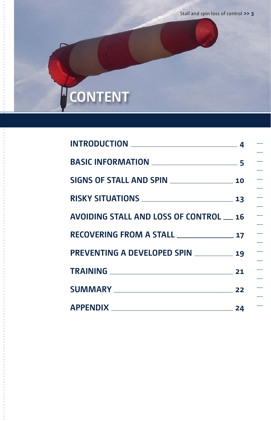

|                                            | $\frac{1}{1}$        |
|--------------------------------------------|----------------------|
|                                            | $\frac{1}{\sqrt{2}}$ |
|                                            | $\frac{1}{2}$        |
| AVOIDING STALL AND LOSS OF CONTROL __ 16   | $\frac{1}{1}$        |
|                                            | $\frac{1}{1}$        |
| PREVENTING A DEVELOPED SPIN ___________ 19 | $\frac{1}{1}$        |
|                                            | $\frac{1}{2}$        |
|                                            | $\frac{1}{2}$        |
|                                            |                      |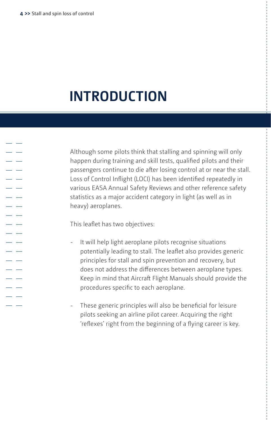$\overline{a}$ 

. .

a an  $\overline{\phantom{0}}$ . L . .

a sa sa

### <span id="page-3-0"></span>**INTRODUCTION**

Although some pilots think that stalling and spinning will only happen during training and skill tests, qualified pilots and their passengers continue to die after losing control at or near the stall. Loss of Control Inflight (LOCI) has been identified repeatedly in various EASA Annual Safety Reviews and other reference safety statistics as a major accident category in light (as well as in heavy) aeroplanes.

This leaflet has two objectives:

- It will help light aeroplane pilots recognise situations potentially leading to stall. The leaflet also provides generic principles for stall and spin prevention and recovery, but does not address the differences between aeroplane types. Keep in mind that Aircraft Flight Manuals should provide the procedures specific to each aeroplane.
- These generic principles will also be beneficial for leisure pilots seeking an airline pilot career. Acquiring the right 'reflexes' right from the beginning of a flying career is key.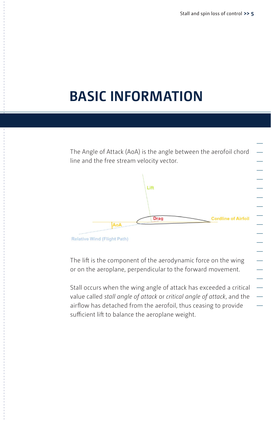$\overline{\phantom{a}}$  $\overline{\phantom{0}}$ 

# <span id="page-4-0"></span>**BASIC INFORMATION**



The lift is the component of the aerodynamic force on the wing or on the aeroplane, perpendicular to the forward movement.

Stall occurs when the wing angle of attack has exceeded a critical value called *stall angle of attack* or *critical angle of attack*, and the airflow has detached from the aerofoil, thus ceasing to provide sufficient lift to balance the aeroplane weight.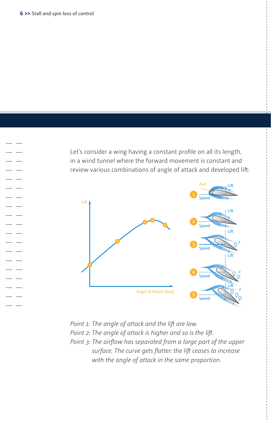Let's consider a wing having a constant profile on all its length, in a wind tunnel where the forward movement is constant and review various combinations of angle of attack and developed lift:



*Point 1: The angle of attack and the lift are low. Point 2: The angle of attack is higher and so is the lift. Point 3: The airflow has separated from a large part of the upper surface. The curve gets flatter: the lift ceases to increase with the angle of attack in the same proportion.*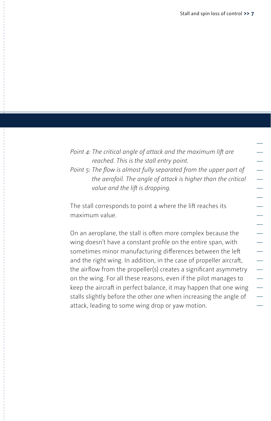

The stall corresponds to point 4 where the lift reaches its maximum value.

On an aeroplane, the stall is often more complex because the wing doesn't have a constant profile on the entire span, with sometimes minor manufacturing differences between the left and the right wing. In addition, in the case of propeller aircraft, the airflow from the propeller(s) creates a significant asymmetry on the wing. For all these reasons, even if the pilot manages to keep the aircraft in perfect balance, it may happen that one wing stalls slightly before the other one when increasing the angle of attack, leading to some wing drop or yaw motion.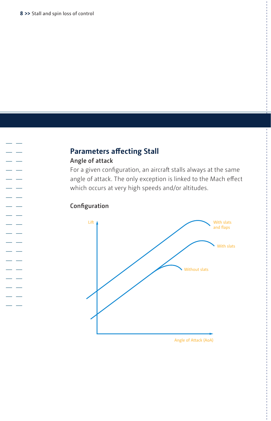$\sim$ 

 $\overline{\phantom{a}}$ 

÷.  $\overline{\phantom{a}}$ 

. L . L  $\sim$  $\sim$ **Contract** i.  $\sim$ 

### **Parameters affecting Stall Angle of attack**

For a given configuration, an aircraft stalls always at the same angle of attack. The only exception is linked to the Mach effect which occurs at very high speeds and/or altitudes.

### **Configuration**



Angle of Attack (AoA)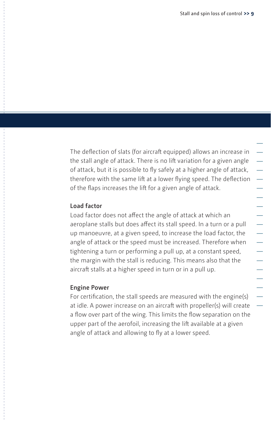$\overline{\phantom{a}}$ 

The deflection of slats (for aircraft equipped) allows an increase in the stall angle of attack. There is no lift variation for a given angle of attack, but it is possible to fly safely at a higher angle of attack, therefore with the same lift at a lower flying speed. The deflection of the flaps increases the lift for a given angle of attack.

### **Load factor**

Load factor does not affect the angle of attack at which an aeroplane stalls but does affect its stall speed. In a turn or a pull up manoeuvre, at a given speed, to increase the load factor, the angle of attack or the speed must be increased. Therefore when tightening a turn or performing a pull up, at a constant speed, the margin with the stall is reducing. This means also that the aircraft stalls at a higher speed in turn or in a pull up.

### **Engine Power**

For certification, the stall speeds are measured with the engine(s) at idle. A power increase on an aircraft with propeller(s) will create a flow over part of the wing. This limits the flow separation on the upper part of the aerofoil, increasing the lift available at a given angle of attack and allowing to fly at a lower speed.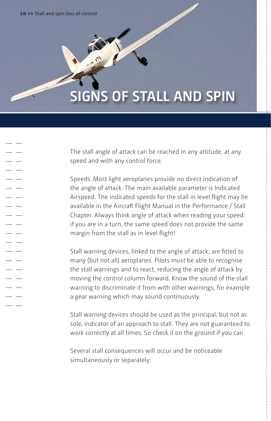. L

. L

# <span id="page-9-0"></span>**SIGNS OF STALL AND SPIN**

The stall angle of attack can be reached in any attitude, at any speed and with any control force.

Speeds: Most light aeroplanes provide no direct indication of the angle of attack. The main available parameter is Indicated Airspeed. The indicated speeds for the stall in level flight may be available in the Aircraft Flight Manual in the Performance / Stall Chapter. Always think angle of attack when reading your speed: if you are in a turn, the same speed does not provide the same margin from the stall as in level flight!

Stall warning devices, linked to the angle of attack, are fitted to many (but not all) aeroplanes. Pilots must be able to recognise the stall warnings and to react, reducing the angle of attack by moving the control column forward. Know the sound of the stall warning to discriminate it from with other warnings, for example a gear warning which may sound continuously.

Stall warning devices should be used as the principal, but not as sole, indicator of an approach to stall. They are not guaranteed to work correctly at all times. So check it on the ground if you can.

Several stall consequences will occur and be noticeable simultaneously or separately: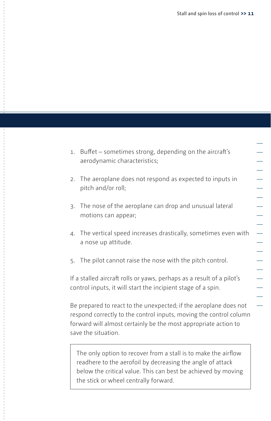$\overline{\phantom{0}}$  $\overline{\phantom{0}}$  $\overline{\phantom{a}}$  $\overline{\phantom{0}}$ 

- 1. Buffet sometimes strong, depending on the aircraft's aerodynamic characteristics;
- 2. The aeroplane does not respond as expected to inputs in pitch and/or roll;
- 3. The nose of the aeroplane can drop and unusual lateral motions can appear;
- 4. The vertical speed increases drastically, sometimes even with a nose up attitude.
- 5. The pilot cannot raise the nose with the pitch control.

If a stalled aircraft rolls or yaws, perhaps as a result of a pilot's control inputs, it will start the incipient stage of a spin.

Be prepared to react to the unexpected; if the aeroplane does not respond correctly to the control inputs, moving the control column forward will almost certainly be the most appropriate action to save the situation.

The only option to recover from a stall is to make the airflow readhere to the aerofoil by decreasing the angle of attack below the critical value. This can best be achieved by moving the stick or wheel centrally forward.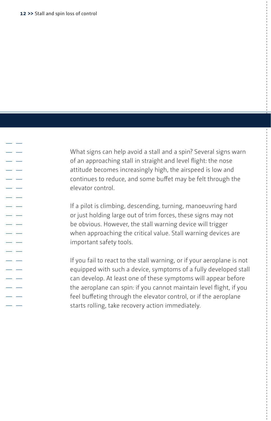J.  $-$ . . a a . . . . . L a an . L - -. L  $\overline{\phantom{0}}$ . L 

What signs can help avoid a stall and a spin? Several signs warn of an approaching stall in straight and level flight: the nose attitude becomes increasingly high, the airspeed is low and continues to reduce, and some buffet may be felt through the elevator control.

If a pilot is climbing, descending, turning, manoeuvring hard or just holding large out of trim forces, these signs may not be obvious. However, the stall warning device will trigger when approaching the critical value. Stall warning devices are important safety tools.

If you fail to react to the stall warning, or if your aeroplane is not equipped with such a device, symptoms of a fully developed stall can develop. At least one of these symptoms will appear before the aeroplane can spin: if you cannot maintain level flight, if you feel buffeting through the elevator control, or if the aeroplane starts rolling, take recovery action immediately.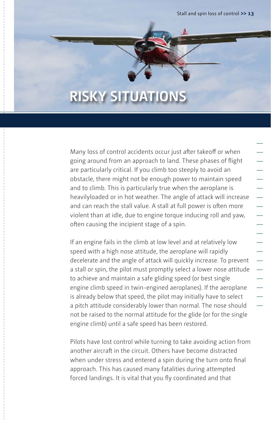$\overline{\phantom{0}}$  $\overline{\phantom{a}}$  $\overline{\phantom{a}}$ 

# <span id="page-12-0"></span>**RISKY SITUATIONS**

Many loss of control accidents occur just after takeoff or when going around from an approach to land. These phases of flight are particularly critical. If you climb too steeply to avoid an obstacle, there might not be enough power to maintain speed and to climb. This is particularly true when the aeroplane is heavilyloaded or in hot weather. The angle of attack will increase and can reach the stall value. A stall at full power is often more violent than at idle, due to engine torque inducing roll and yaw, often causing the incipient stage of a spin.

If an engine fails in the climb at low level and at relatively low speed with a high nose attitude, the aeroplane will rapidly decelerate and the angle of attack will quickly increase. To prevent a stall or spin, the pilot must promptly select a lower nose attitude to achieve and maintain a safe gliding speed (or best single engine climb speed in twin-engined aeroplanes). If the aeroplane is already below that speed, the pilot may initially have to select a pitch attitude considerably lower than normal. The nose should not be raised to the normal attitude for the glide (or for the single engine climb) until a safe speed has been restored.

Pilots have lost control while turning to take avoiding action from another aircraft in the circuit. Others have become distracted when under stress and entered a spin during the turn onto final approach. This has caused many fatalities during attempted forced landings. It is vital that you fly coordinated and that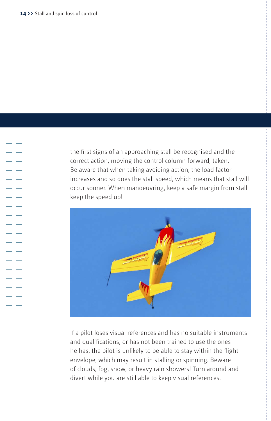the first signs of an approaching stall be recognised and the correct action, moving the control column forward, taken. Be aware that when taking avoiding action, the load factor increases and so does the stall speed, which means that stall will occur sooner. When manoeuvring, keep a safe margin from stall: keep the speed up!



If a pilot loses visual references and has no suitable instruments and qualifications, or has not been trained to use the ones he has, the pilot is unlikely to be able to stay within the flight envelope, which may result in stalling or spinning. Beware of clouds, fog, snow, or heavy rain showers! Turn around and divert while you are still able to keep visual references.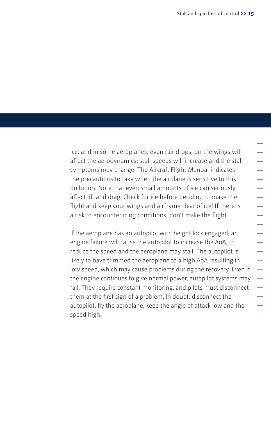Ice, and in some aeroplanes, even raindrops, on the wings will affect the aerodynamics: stall speeds will increase and the stall symptoms may change. The Aircraft Flight Manual indicates the precautions to take when the airplane is sensitive to this pollution. Note that even small amounts of ice can seriously affect lift and drag. Check for ice before deciding to make the flight and keep your wings and airframe clear of ice! If there is a risk to encounter icing conditions, don't make the flight.

If the aeroplane has an autopilot with height lock engaged, an engine failure will cause the autopilot to increase the AoA, to reduce the speed and the aeroplane may stall. The autopilot is likely to have trimmed the aeroplane to a high AoA resulting in low speed, which may cause problems during the recovery. Even if the engine continues to give normal power, autopilot systems may fail. They require constant monitoring, and pilots must disconnect them at the first sign of a problem. In doubt, disconnect the autopilot, fly the aeroplane, keep the angle of attack low and the speed high.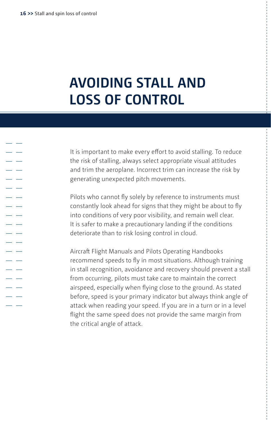$\overline{\phantom{0}}$ 

2022 . L . . a a

a a

# <span id="page-15-0"></span>**AVOIDING STALL AND LOSS OF CONTROL**

It is important to make every effort to avoid stalling. To reduce the risk of stalling, always select appropriate visual attitudes and trim the aeroplane. Incorrect trim can increase the risk by generating unexpected pitch movements.

Pilots who cannot fly solely by reference to instruments must constantly look ahead for signs that they might be about to fly into conditions of very poor visibility, and remain well clear. It is safer to make a precautionary landing if the conditions deteriorate than to risk losing control in cloud.

Aircraft Flight Manuals and Pilots Operating Handbooks recommend speeds to fly in most situations. Although training in stall recognition, avoidance and recovery should prevent a stall from occurring, pilots must take care to maintain the correct airspeed, especially when flying close to the ground. As stated before, speed is your primary indicator but always think angle of attack when reading your speed. If you are in a turn or in a level flight the same speed does not provide the same margin from the critical angle of attack.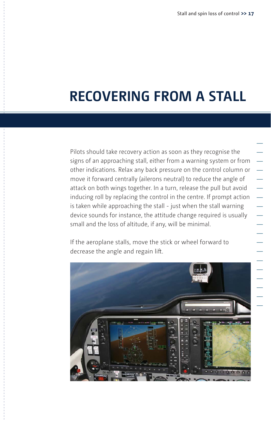### <span id="page-16-0"></span>**RECOVERING FROM A STALL**

Pilots should take recovery action as soon as they recognise the signs of an approaching stall, either from a warning system or from other indications. Relax any back pressure on the control column or move it forward centrally (ailerons neutral) to reduce the angle of attack on both wings together. In a turn, release the pull but avoid inducing roll by replacing the control in the centre. If prompt action is taken while approaching the stall - just when the stall warning device sounds for instance, the attitude change required is usually small and the loss of altitude, if any, will be minimal.

If the aeroplane stalls, move the stick or wheel forward to decrease the angle and regain lift.

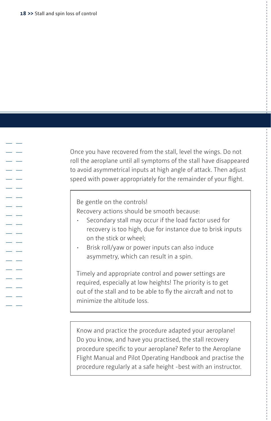Once you have recovered from the stall, level the wings. Do not roll the aeroplane until all symptoms of the stall have disappeared to avoid asymmetrical inputs at high angle of attack. Then adjust speed with power appropriately for the remainder of your flight.

Be gentle on the controls!

Recovery actions should be smooth because:

- Secondary stall may occur if the load factor used for recovery is too high, due for instance due to brisk inputs on the stick or wheel;
- Brisk roll/yaw or power inputs can also induce asymmetry, which can result in a spin.

Timely and appropriate control and power settings are required, especially at low heights! The priority is to get out of the stall and to be able to fly the aircraft and not to minimize the altitude loss.

Know and practice the procedure adapted your aeroplane! Do you know, and have you practised, the stall recovery procedure specific to your aeroplane? Refer to the Aeroplane Flight Manual and Pilot Operating Handbook and practise the procedure regularly at a safe height -best with an instructor.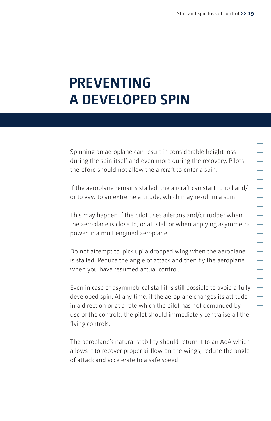# <span id="page-18-0"></span>**PREVENTING A DEVELOPED SPIN**

Spinning an aeroplane can result in considerable height loss during the spin itself and even more during the recovery. Pilots therefore should not allow the aircraft to enter a spin.

If the aeroplane remains stalled, the aircraft can start to roll and/ or to yaw to an extreme attitude, which may result in a spin.

This may happen if the pilot uses ailerons and/or rudder when the aeroplane is close to, or at, stall or when applying asymmetric power in a multiengined aeroplane.

Do not attempt to 'pick up' a dropped wing when the aeroplane is stalled. Reduce the angle of attack and then fly the aeroplane when you have resumed actual control.

Even in case of asymmetrical stall it is still possible to avoid a fully developed spin. At any time, if the aeroplane changes its attitude in a direction or at a rate which the pilot has not demanded by use of the controls, the pilot should immediately centralise all the flying controls.

The aeroplane's natural stability should return it to an AoA which allows it to recover proper airflow on the wings, reduce the angle of attack and accelerate to a safe speed.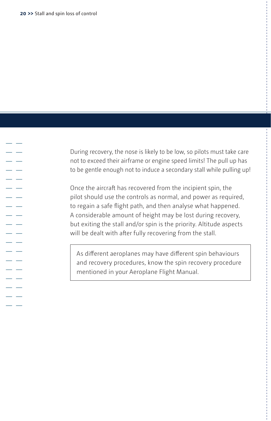. L a sa

. . . . . L

a an . L

During recovery, the nose is likely to be low, so pilots must take care not to exceed their airframe or engine speed limits! The pull up has to be gentle enough not to induce a secondary stall while pulling up!

Once the aircraft has recovered from the incipient spin, the pilot should use the controls as normal, and power as required, to regain a safe flight path, and then analyse what happened. A considerable amount of height may be lost during recovery, but exiting the stall and/or spin is the priority. Altitude aspects will be dealt with after fully recovering from the stall.

As different aeroplanes may have different spin behaviours and recovery procedures, know the spin recovery procedure mentioned in your Aeroplane Flight Manual.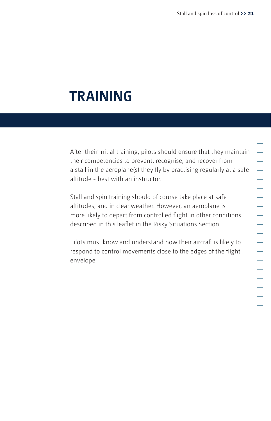### <span id="page-20-0"></span>**TRAINING**

After their initial training, pilots should ensure that they maintain their competencies to prevent, recognise, and recover from a stall in the aeroplane(s) they fly by practising regularly at a safe altitude - best with an instructor.

Stall and spin training should of course take place at safe altitudes, and in clear weather. However, an aeroplane is more likely to depart from controlled flight in other conditions described in this leaflet in the Risky Situations Section.

Pilots must know and understand how their aircraft is likely to respond to control movements close to the edges of the flight envelope.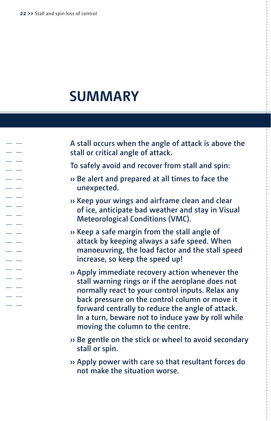a an

a s . L

a an

### <span id="page-21-0"></span>**SUMMARY**

**A stall occurs when the angle of attack is above the stall or critical angle of attack.** 

**To safely avoid and recover from stall and spin:**

- **›› Be alert and prepared at all times to face the unexpected.**
- **›› Keep your wings and airframe clean and clear of ice, anticipate bad weather and stay in Visual Meteorological Conditions (VMC).**
- **›› Keep a safe margin from the stall angle of attack by keeping always a safe speed. When manoeuvring, the load factor and the stall speed increase, so keep the speed up!**
- **›› Apply immediate recovery action whenever the stall warning rings or if the aeroplane does not normally react to your control inputs. Relax any back pressure on the control column or move it forward centrally to reduce the angle of attack. In a turn, beware not to induce yaw by roll while moving the column to the centre.**
- **›› Be gentle on the stick or wheel to avoid secondary stall or spin.**
- **›› Apply power with care so that resultant forces do not make the situation worse.**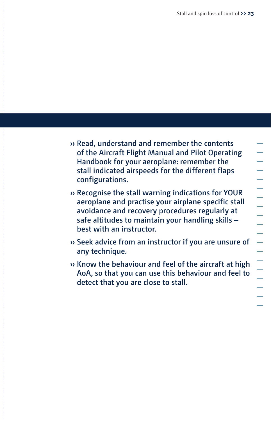- **›› Read, understand and remember the contents of the Aircraft Flight Manual and Pilot Operating Handbook for your aeroplane: remember the stall indicated airspeeds for the different flaps configurations.**
- **›› Recognise the stall warning indications for YOUR aeroplane and practise your airplane specific stall avoidance and recovery procedures regularly at safe altitudes to maintain your handling skills – best with an instructor.**
- **›› Seek advice from an instructor if you are unsure of any technique.**
- **›› Know the behaviour and feel of the aircraft at high AoA, so that you can use this behaviour and feel to detect that you are close to stall.**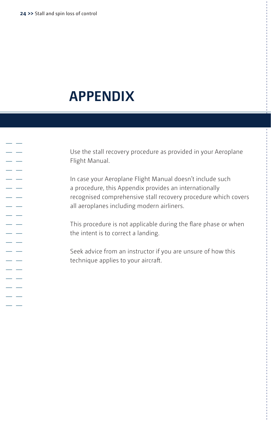. L  $-$ 

 $\overline{\phantom{0}}$  $\mathbf{L}$ a sa sa  $\overline{\phantom{0}}$  $\overline{\phantom{0}}$  $\overline{\phantom{0}}$  $\overline{\phantom{0}}$ a sa s a sa s  $\overline{\phantom{0}}$ a sa 

### <span id="page-23-0"></span>**APPENDIX**

Use the stall recovery procedure as provided in your Aeroplane Flight Manual.

In case your Aeroplane Flight Manual doesn't include such a procedure, this Appendix provides an internationally recognised comprehensive stall recovery procedure which covers all aeroplanes including modern airliners.

This procedure is not applicable during the flare phase or when the intent is to correct a landing.

Seek advice from an instructor if you are unsure of how this technique applies to your aircraft.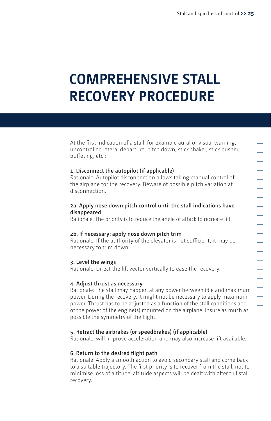# **COMPREHENSIVE STALL RECOVERY PROCEDURE**

At the first indication of a stall, for example aural or visual warning, uncontrolled lateral departure, pitch down, stick shaker, stick pusher, buffeting, etc.:

### **1. Disconnect the autopilot (if applicable)**

Rationale: Autopilot disconnection allows taking manual control of the airplane for the recovery. Beware of possible pitch variation at disconnection.

### **2a. Apply nose down pitch control until the stall indications have disappeared**

Rationale: The priority is to reduce the angle of attack to recreate lift.

#### **2b. If necessary: apply nose down pitch trim**

Rationale: If the authority of the elevator is not sufficient, it may be necessary to trim down.

#### **3. Level the wings**

Rationale: Direct the lift vector vertically to ease the recovery.

### **4. Adjust thrust as necessary**

Rationale: The stall may happen at any power between idle and maximum power. During the recovery, it might not be necessary to apply maximum power. Thrust has to be adjusted as a function of the stall conditions and of the power of the engine(s) mounted on the airplane. Insure as much as possible the symmetry of the flight.

### **5. Retract the airbrakes (or speedbrakes) (if applicable)**

Rationale: will improve acceleration and may also increase lift available.

### **6. Return to the desired flight path**

Rationale: Apply a smooth action to avoid secondary stall and come back to a suitable trajectory. The first priority is to recover from the stall, not to minimise loss of altitude: altitude aspects will be dealt with after full stall recovery.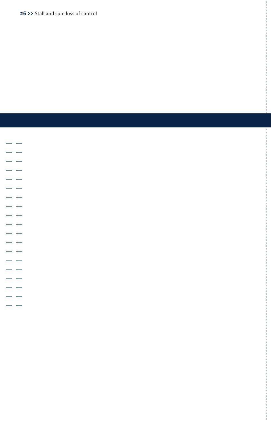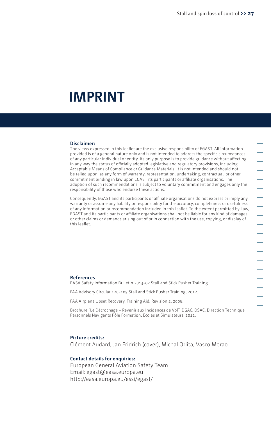### **IMPRINT**

#### **Disclaimer:**

The views expressed in this leaflet are the exclusive responsibility of EGAST. All information provided is of a general nature only and is not intended to address the specific circumstances of any particular individual or entity. Its only purpose is to provide guidance without affecting in any way the status of officially adopted legislative and regulatory provisions, including Acceptable Means of Compliance or Guidance Materials. It is not intended and should not be relied upon, as any form of warranty, representation, undertaking, contractual, or other commitment binding in law upon EGAST its participants or affiliate organisations. The adoption of such recommendations is subject to voluntary commitment and engages only the responsibility of those who endorse these actions.

Consequently, EGAST and its participants or affiliate organisations do not express or imply any warranty or assume any liability or responsibility for the accuracy, completeness or usefulness of any information or recommendation included in this leaflet. To the extent permitted by Law, EGAST and its participants or affiliate organisations shall not be liable for any kind of damages or other claims or demands arising out of or in connection with the use, copying, or display of this leaflet.

#### **References**

EASA Safety Information Bulletin 2013-02 Stall and Stick Pusher Training.

FAA Advisory Circular 120-109 Stall and Stick Pusher Training, 2012.

FAA Airplane Upset Recovery, Training Aid, Revision 2, 2008.

Brochure "Le Décrochage – Revenir aux Incidences de Vol", DGAC, DSAC, Direction Technique Personnels Navigants Pôle Formation, Ecoles et Simulateurs, 2012.

#### **Picture credits:**

Clément Audard, Jan Fridrich (cover), Michal Orlita, Vasco Morao

#### **Contact details for enquiries:**

European General Aviation Safety Team Email: egast@easa.europa.eu http://easa.europa.eu/essi/egast/